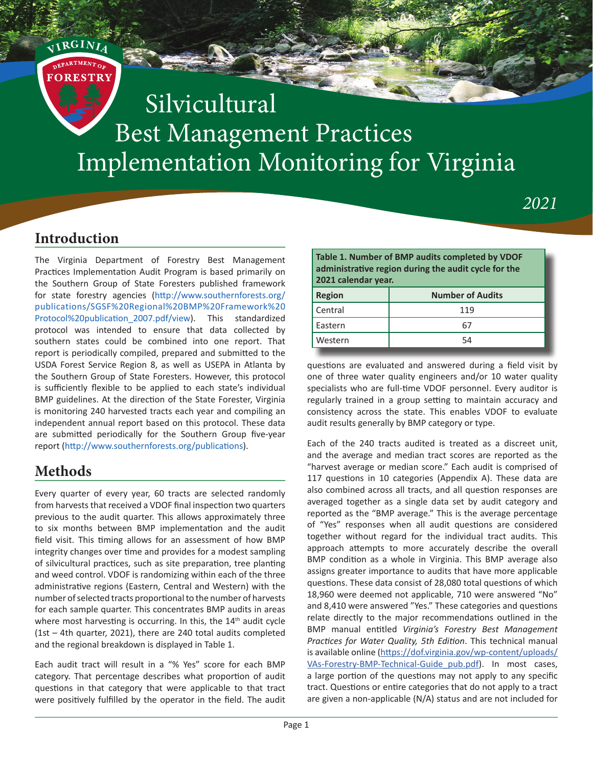

#### **Introduction**

**<sup>V</sup><sup>I</sup> <sup>R</sup>GINI<sup>A</sup>**

The Virginia Department of Forestry Best Management Practices Implementation Audit Program is based primarily on the Southern Group of State Foresters published framework for state forestry agencies ([http://www.southernforests.org/](http://www.southernforests.org/publications/SGSF%20Regional%20BMP%20Framework%20Protocol%20publication_2007.pdf/view) [publications/SGSF%20Regional%20BMP%20Framework%20](http://www.southernforests.org/publications/SGSF%20Regional%20BMP%20Framework%20Protocol%20publication_2007.pdf/view) [Protocol%20publication\\_2007.pdf/view\)](http://www.southernforests.org/publications/SGSF%20Regional%20BMP%20Framework%20Protocol%20publication_2007.pdf/view). This standardized protocol was intended to ensure that data collected by southern states could be combined into one report. That report is periodically compiled, prepared and submitted to the USDA Forest Service Region 8, as well as USEPA in Atlanta by the Southern Group of State Foresters. However, this protocol is sufficiently flexible to be applied to each state's individual BMP guidelines. At the direction of the State Forester, Virginia is monitoring 240 harvested tracts each year and compiling an independent annual report based on this protocol. These data are submitted periodically for the Southern Group five-year report (<http://www.southernforests.org/publications>).

### **Methods**

Every quarter of every year, 60 tracts are selected randomly from harvests that received a VDOF final inspection two quarters previous to the audit quarter. This allows approximately three to six months between BMP implementation and the audit field visit. This timing allows for an assessment of how BMP integrity changes over time and provides for a modest sampling of silvicultural practices, such as site preparation, tree planting and weed control. VDOF is randomizing within each of the three administrative regions (Eastern, Central and Western) with the number of selected tracts proportional to the number of harvests for each sample quarter. This concentrates BMP audits in areas where most harvesting is occurring. In this, the 14<sup>th</sup> audit cycle (1st – 4th quarter, 2021), there are 240 total audits completed and the regional breakdown is displayed in Table 1.

Each audit tract will result in a "% Yes" score for each BMP category. That percentage describes what proportion of audit questions in that category that were applicable to that tract were positively fulfilled by the operator in the field. The audit

**Table 1. Number of BMP audits completed by VDOF administrative region during the audit cycle for the 2021 calendar year.**

| <b>Region</b> | <b>Number of Audits</b> |
|---------------|-------------------------|
| Central       | 119                     |
| Eastern       |                         |
| Western       | 54                      |

*2021*

questions are evaluated and answered during a field visit by one of three water quality engineers and/or 10 water quality specialists who are full-time VDOF personnel. Every auditor is regularly trained in a group setting to maintain accuracy and consistency across the state. This enables VDOF to evaluate audit results generally by BMP category or type.

Each of the 240 tracts audited is treated as a discreet unit, and the average and median tract scores are reported as the "harvest average or median score." Each audit is comprised of 117 questions in 10 categories (Appendix A). These data are also combined across all tracts, and all question responses are averaged together as a single data set by audit category and reported as the "BMP average." This is the average percentage of "Yes" responses when all audit questions are considered together without regard for the individual tract audits. This approach attempts to more accurately describe the overall BMP condition as a whole in Virginia. This BMP average also assigns greater importance to audits that have more applicable questions. These data consist of 28,080 total questions of which 18,960 were deemed not applicable, 710 were answered "No" and 8,410 were answered "Yes." These categories and questions relate directly to the major recommendations outlined in the BMP manual entitled *Virginia's Forestry Best Management Practices for Water Quality, 5th Edition*. This technical manual is available online [\(https://dof.virginia.gov/wp-content/uploads/](https://dof.virginia.gov/wp-content/uploads/VAs-Forestry-BMP-Technical-Guide_pub.pdf) [VAs-Forestry-BMP-Technical-Guide\\_pub.pdf\)](https://dof.virginia.gov/wp-content/uploads/VAs-Forestry-BMP-Technical-Guide_pub.pdf). In most cases, a large portion of the questions may not apply to any specific tract. Questions or entire categories that do not apply to a tract are given a non-applicable (N/A) status and are not included for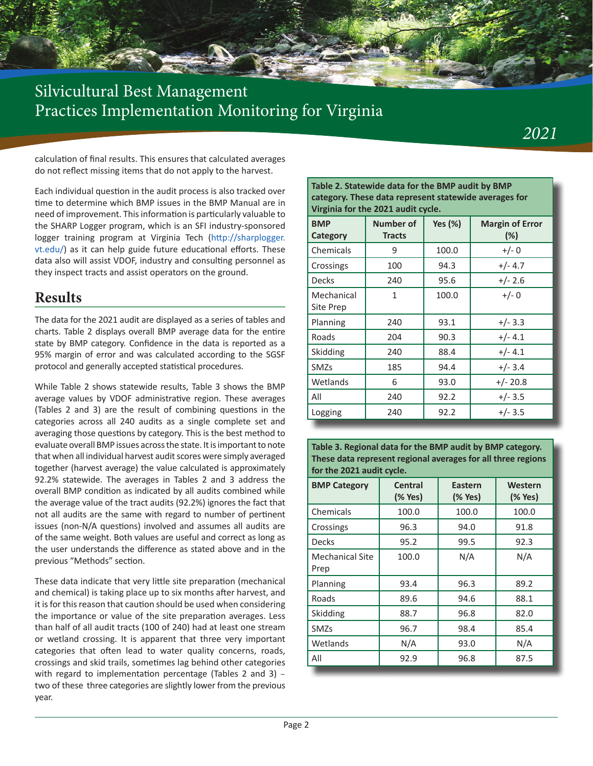

calculation of final results. This ensures that calculated averages do not reflect missing items that do not apply to the harvest.

Each individual question in the audit process is also tracked over time to determine which BMP issues in the BMP Manual are in need of improvement. This information is particularly valuable to the SHARP Logger program, which is an SFI industry-sponsored logger training program at Virginia Tech [\(http://sharplogger.](http://sharplogger.vt.edu/) [vt.edu/\)](http://sharplogger.vt.edu/) as it can help guide future educational efforts. These data also will assist VDOF, industry and consulting personnel as they inspect tracts and assist operators on the ground.

### **Results**

The data for the 2021 audit are displayed as a series of tables and charts. Table 2 displays overall BMP average data for the entire state by BMP category. Confidence in the data is reported as a 95% margin of error and was calculated according to the SGSF protocol and generally accepted statistical procedures.

While Table 2 shows statewide results, Table 3 shows the BMP average values by VDOF administrative region. These averages (Tables 2 and 3) are the result of combining questions in the categories across all 240 audits as a single complete set and averaging those questions by category. This is the best method to evaluate overall BMP issues across the state. It is important to note that when all individual harvest audit scores were simply averaged together (harvest average) the value calculated is approximately 92.2% statewide. The averages in Tables 2 and 3 address the overall BMP condition as indicated by all audits combined while the average value of the tract audits (92.2%) ignores the fact that not all audits are the same with regard to number of pertinent issues (non-N/A questions) involved and assumes all audits are of the same weight. Both values are useful and correct as long as the user understands the difference as stated above and in the previous "Methods" section.

These data indicate that very little site preparation (mechanical and chemical) is taking place up to six months after harvest, and it is for this reason that caution should be used when considering the importance or value of the site preparation averages. Less than half of all audit tracts (100 of 240) had at least one stream or wetland crossing. It is apparent that three very important categories that often lead to water quality concerns, roads, crossings and skid trails, sometimes lag behind other categories with regard to implementation percentage (Tables 2 and 3) – two of these three categories are slightly lower from the previous year.

**Table 2. Statewide data for the BMP audit by BMP category. These data represent statewide averages for Virginia for the 2021 audit cycle.**

| <b>BMP</b><br>Category  | <b>Number of</b><br><b>Tracts</b> | <b>Yes (%)</b> | <b>Margin of Error</b><br>(%) |
|-------------------------|-----------------------------------|----------------|-------------------------------|
| Chemicals               | 9                                 | 100.0          | $+/- 0$                       |
| Crossings               | 100                               | 94.3           | $+/- 4.7$                     |
| Decks                   | 240                               | 95.6           | $+/- 2.6$                     |
| Mechanical<br>Site Prep | 1                                 | 100.0          | $+/- 0$                       |
| Planning                | 240                               | 93.1           | $+/- 3.3$                     |
| Roads                   | 204                               | 90.3           | $+/- 4.1$                     |
| Skidding                | 240                               | 88.4           | $+/- 4.1$                     |
| <b>SMZs</b>             | 185                               | 94.4           | $+/- 3.4$                     |
| Wetlands                | 6                                 | 93.0           | $+/- 20.8$                    |
| All                     | 240                               | 92.2           | $+/- 3.5$                     |
| Logging                 | 240                               | 92.2           | $+/- 3.5$                     |

**Table 3. Regional data for the BMP audit by BMP category. These data represent regional averages for all three regions for the 2021 audit cycle.**

| <b>BMP Category</b>            | Central<br>(% Yes) | <b>Eastern</b><br>(% Yes) | Western<br>(% Yes) |
|--------------------------------|--------------------|---------------------------|--------------------|
| Chemicals                      | 100.0              | 100.0                     | 100.0              |
| Crossings                      | 96.3               | 94.0                      | 91.8               |
| <b>Decks</b>                   | 95.2               | 99.5                      | 92.3               |
| <b>Mechanical Site</b><br>Prep | 100.0              | N/A                       | N/A                |
| Planning                       | 93.4               | 96.3                      | 89.2               |
| Roads                          | 89.6               | 94.6                      | 88.1               |
| Skidding                       | 88.7               | 96.8                      | 82.0               |
| SMZs                           | 96.7               | 98.4                      | 85.4               |
| Wetlands                       | N/A                | 93.0                      | N/A                |
| All                            | 92.9               | 96.8                      | 87.5               |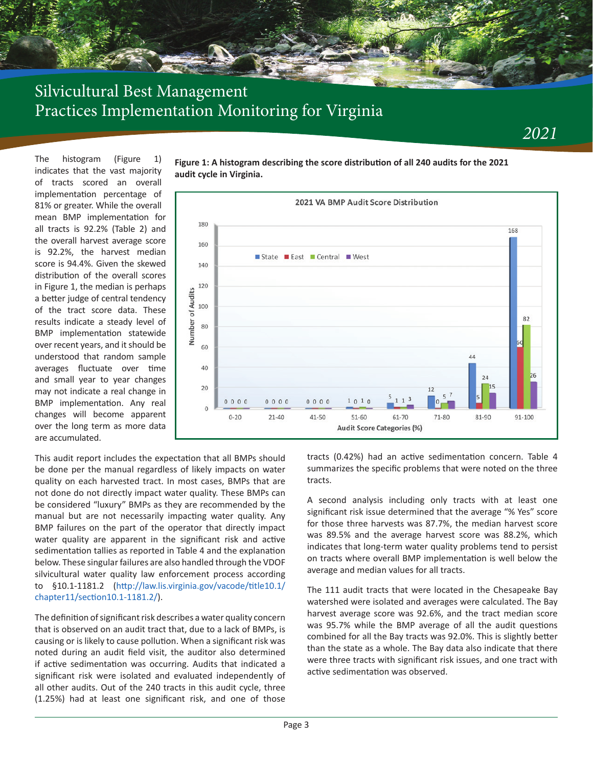The histogram (Figure 1) indicates that the vast majority of tracts scored an overall implementation percentage of 81% or greater. While the overall mean BMP implementation for all tracts is 92.2% (Table 2) and the overall harvest average score is 92.2%, the harvest median score is 94.4%. Given the skewed distribution of the overall scores in Figure 1, the median is perhaps a better judge of central tendency of the tract score data. These results indicate a steady level of BMP implementation statewide over recent years, and it should be understood that random sample averages fluctuate over time and small year to year changes may not indicate a real change in BMP implementation. Any real changes will become apparent over the long term as more data are accumulated.

**Figure 1: A histogram describing the score distribution of all 240 audits for the 2021 audit cycle in Virginia.**



This audit report includes the expectation that all BMPs should be done per the manual regardless of likely impacts on water quality on each harvested tract. In most cases, BMPs that are not done do not directly impact water quality. These BMPs can be considered "luxury" BMPs as they are recommended by the manual but are not necessarily impacting water quality. Any BMP failures on the part of the operator that directly impact water quality are apparent in the significant risk and active sedimentation tallies as reported in Table 4 and the explanation below. These singular failures are also handled through the VDOF silvicultural water quality law enforcement process according to §10.1-1181.2 (http://law.lis.virginia.gov/vacode/title10.1/ chapter11/section10.1-1181.2/).

The definition of significant risk describes a water quality concern that is observed on an audit tract that, due to a lack of BMPs, is causing or is likely to cause pollution. When a significant risk was noted during an audit field visit, the auditor also determined if active sedimentation was occurring. Audits that indicated a significant risk were isolated and evaluated independently of all other audits. Out of the 240 tracts in this audit cycle, three (1.25%) had at least one significant risk, and one of those tracts (0.42%) had an active sedimentation concern. Table 4 summarizes the specific problems that were noted on the three tracts.

A second analysis including only tracts with at least one significant risk issue determined that the average "% Yes" score for those three harvests was 87.7%, the median harvest score was 89.5% and the average harvest score was 88.2%, which indicates that long-term water quality problems tend to persist on tracts where overall BMP implementation is well below the average and median values for all tracts.

The 111 audit tracts that were located in the Chesapeake Bay watershed were isolated and averages were calculated. The Bay harvest average score was 92.6%, and the tract median score was 95.7% while the BMP average of all the audit questions combined for all the Bay tracts was 92.0%. This is slightly better than the state as a whole. The Bay data also indicate that there were three tracts with significant risk issues, and one tract with active sedimentation was observed.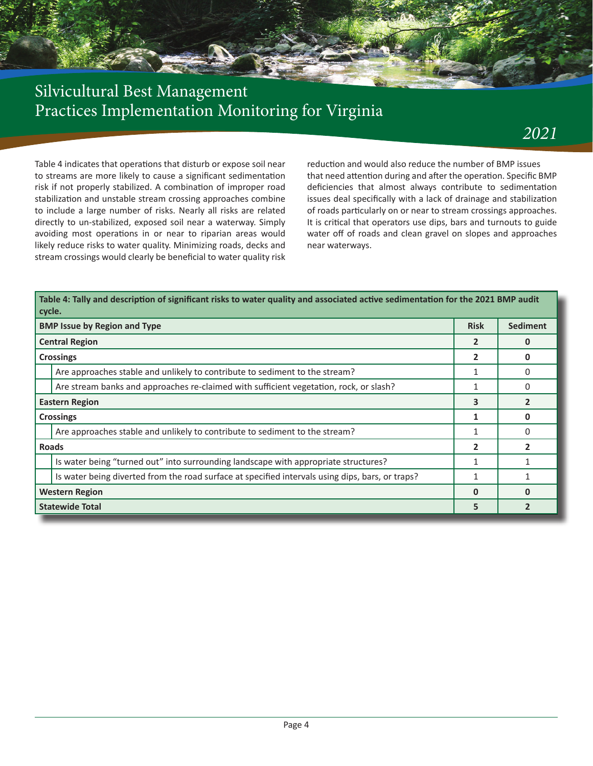

## *2021*

Table 4 indicates that operations that disturb or expose soil near to streams are more likely to cause a significant sedimentation risk if not properly stabilized. A combination of improper road stabilization and unstable stream crossing approaches combine to include a large number of risks. Nearly all risks are related directly to un-stabilized, exposed soil near a waterway. Simply avoiding most operations in or near to riparian areas would likely reduce risks to water quality. Minimizing roads, decks and stream crossings would clearly be beneficial to water quality risk reduction and would also reduce the number of BMP issues that need attention during and after the operation. Specific BMP deficiencies that almost always contribute to sedimentation issues deal specifically with a lack of drainage and stabilization of roads particularly on or near to stream crossings approaches. It is critical that operators use dips, bars and turnouts to guide water off of roads and clean gravel on slopes and approaches near waterways.

|                       | Table 4: Tally and description of significant risks to water quality and associated active sedimentation for the 2021 BMP audit<br>  cycle. |                |                 |  |  |  |
|-----------------------|---------------------------------------------------------------------------------------------------------------------------------------------|----------------|-----------------|--|--|--|
|                       | <b>BMP Issue by Region and Type</b>                                                                                                         | <b>Risk</b>    | <b>Sediment</b> |  |  |  |
|                       | <b>Central Region</b>                                                                                                                       | 2              | 0               |  |  |  |
|                       | <b>Crossings</b>                                                                                                                            | $\mathbf{2}$   | 0               |  |  |  |
|                       | Are approaches stable and unlikely to contribute to sediment to the stream?                                                                 | 1              | 0               |  |  |  |
|                       | Are stream banks and approaches re-claimed with sufficient vegetation, rock, or slash?                                                      |                | 0               |  |  |  |
| <b>Eastern Region</b> |                                                                                                                                             | 3              | $\mathfrak{p}$  |  |  |  |
|                       | <b>Crossings</b>                                                                                                                            |                | <sup>0</sup>    |  |  |  |
|                       | Are approaches stable and unlikely to contribute to sediment to the stream?                                                                 |                | 0               |  |  |  |
| <b>Roads</b>          |                                                                                                                                             | $\overline{2}$ |                 |  |  |  |
|                       | Is water being "turned out" into surrounding landscape with appropriate structures?                                                         |                |                 |  |  |  |
|                       | Is water being diverted from the road surface at specified intervals using dips, bars, or traps?                                            |                |                 |  |  |  |
|                       | <b>Western Region</b>                                                                                                                       | $\bf{0}$       | <sup>n</sup>    |  |  |  |
|                       | <b>Statewide Total</b>                                                                                                                      | 5              |                 |  |  |  |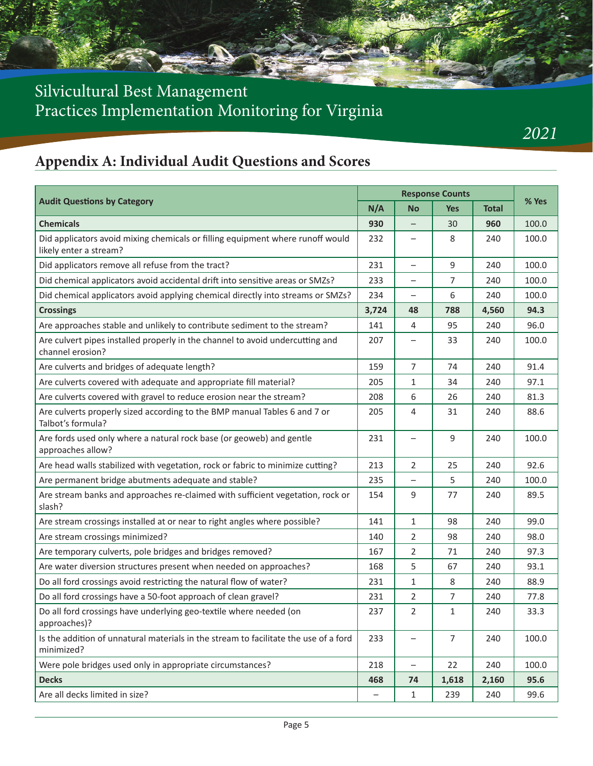# **Appendix A: Individual Audit Questions and Scores**

| <b>Audit Questions by Category</b>                                                                       |       | <b>Response Counts</b>   |                |              |       |
|----------------------------------------------------------------------------------------------------------|-------|--------------------------|----------------|--------------|-------|
|                                                                                                          | N/A   | <b>No</b>                | <b>Yes</b>     | <b>Total</b> | % Yes |
| <b>Chemicals</b>                                                                                         | 930   |                          | 30             | 960          | 100.0 |
| Did applicators avoid mixing chemicals or filling equipment where runoff would<br>likely enter a stream? | 232   |                          | 8              | 240          | 100.0 |
| Did applicators remove all refuse from the tract?                                                        | 231   | $\overline{\phantom{0}}$ | 9              | 240          | 100.0 |
| Did chemical applicators avoid accidental drift into sensitive areas or SMZs?                            | 233   | —                        | 7              | 240          | 100.0 |
| Did chemical applicators avoid applying chemical directly into streams or SMZs?                          | 234   |                          | 6              | 240          | 100.0 |
| <b>Crossings</b>                                                                                         | 3,724 | 48                       | 788            | 4,560        | 94.3  |
| Are approaches stable and unlikely to contribute sediment to the stream?                                 | 141   | 4                        | 95             | 240          | 96.0  |
| Are culvert pipes installed properly in the channel to avoid undercutting and<br>channel erosion?        | 207   | —                        | 33             | 240          | 100.0 |
| Are culverts and bridges of adequate length?                                                             | 159   | 7                        | 74             | 240          | 91.4  |
| Are culverts covered with adequate and appropriate fill material?                                        | 205   | $\mathbf{1}$             | 34             | 240          | 97.1  |
| Are culverts covered with gravel to reduce erosion near the stream?                                      | 208   | 6                        | 26             | 240          | 81.3  |
| Are culverts properly sized according to the BMP manual Tables 6 and 7 or<br>Talbot's formula?           | 205   | 4                        | 31             | 240          | 88.6  |
| Are fords used only where a natural rock base (or geoweb) and gentle<br>approaches allow?                | 231   | —                        | 9              | 240          | 100.0 |
| Are head walls stabilized with vegetation, rock or fabric to minimize cutting?                           | 213   | 2                        | 25             | 240          | 92.6  |
| Are permanent bridge abutments adequate and stable?                                                      | 235   |                          | 5              | 240          | 100.0 |
| Are stream banks and approaches re-claimed with sufficient vegetation, rock or<br>slash?                 | 154   | 9                        | 77             | 240          | 89.5  |
| Are stream crossings installed at or near to right angles where possible?                                | 141   | $\mathbf{1}$             | 98             | 240          | 99.0  |
| Are stream crossings minimized?                                                                          | 140   | 2                        | 98             | 240          | 98.0  |
| Are temporary culverts, pole bridges and bridges removed?                                                | 167   | 2                        | 71             | 240          | 97.3  |
| Are water diversion structures present when needed on approaches?                                        | 168   | 5                        | 67             | 240          | 93.1  |
| Do all ford crossings avoid restricting the natural flow of water?                                       | 231   | 1                        | 8              | 240          | 88.9  |
| Do all ford crossings have a 50-foot approach of clean gravel?                                           | 231   | 2                        | 7              | 240          | 77.8  |
| Do all ford crossings have underlying geo-textile where needed (on<br>approaches)?                       | 237   | 2                        | $\mathbf{1}$   | 240          | 33.3  |
| Is the addition of unnatural materials in the stream to facilitate the use of a ford<br>minimized?       | 233   |                          | $\overline{7}$ | 240          | 100.0 |
| Were pole bridges used only in appropriate circumstances?                                                | 218   | $\overline{\phantom{0}}$ | 22             | 240          | 100.0 |
| <b>Decks</b>                                                                                             | 468   | 74                       | 1,618          | 2,160        | 95.6  |
| Are all decks limited in size?                                                                           |       | 1                        | 239            | 240          | 99.6  |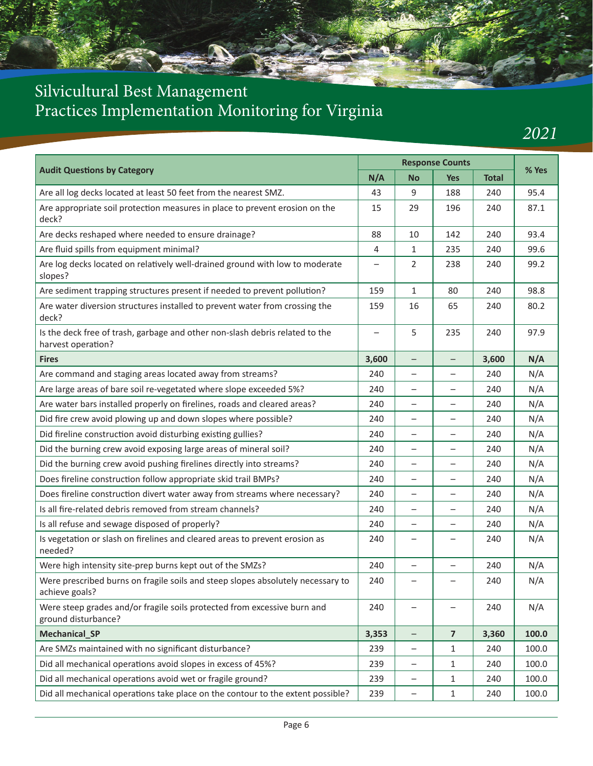

*2021*

| <b>Audit Questions by Category</b>                                                                 |                          | <b>Response Counts</b>   |                          |              | % Yes |
|----------------------------------------------------------------------------------------------------|--------------------------|--------------------------|--------------------------|--------------|-------|
|                                                                                                    | N/A                      | <b>No</b>                | <b>Yes</b>               | <b>Total</b> |       |
| Are all log decks located at least 50 feet from the nearest SMZ.                                   | 43                       | 9                        | 188                      | 240          | 95.4  |
| Are appropriate soil protection measures in place to prevent erosion on the<br>deck?               | 15                       | 29                       | 196                      | 240          | 87.1  |
| Are decks reshaped where needed to ensure drainage?                                                | 88                       | 10                       | 142                      | 240          | 93.4  |
| Are fluid spills from equipment minimal?                                                           | 4                        | $\mathbf{1}$             | 235                      | 240          | 99.6  |
| Are log decks located on relatively well-drained ground with low to moderate<br>slopes?            | $\overline{\phantom{0}}$ | 2                        | 238                      | 240          | 99.2  |
| Are sediment trapping structures present if needed to prevent pollution?                           | 159                      | $\mathbf{1}$             | 80                       | 240          | 98.8  |
| Are water diversion structures installed to prevent water from crossing the<br>deck?               | 159                      | 16                       | 65                       | 240          | 80.2  |
| Is the deck free of trash, garbage and other non-slash debris related to the<br>harvest operation? |                          | 5                        | 235                      | 240          | 97.9  |
| <b>Fires</b>                                                                                       | 3,600                    | $\qquad \qquad -$        | $\qquad \qquad -$        | 3,600        | N/A   |
| Are command and staging areas located away from streams?                                           | 240                      | -                        | $\qquad \qquad -$        | 240          | N/A   |
| Are large areas of bare soil re-vegetated where slope exceeded 5%?                                 | 240                      |                          |                          | 240          | N/A   |
| Are water bars installed properly on firelines, roads and cleared areas?                           | 240                      | $\overline{\phantom{0}}$ | $\overline{\phantom{0}}$ | 240          | N/A   |
| Did fire crew avoid plowing up and down slopes where possible?                                     | 240                      | -                        |                          | 240          | N/A   |
| Did fireline construction avoid disturbing existing gullies?                                       | 240                      | $\overline{\phantom{0}}$ |                          | 240          | N/A   |
| Did the burning crew avoid exposing large areas of mineral soil?                                   | 240                      |                          |                          | 240          | N/A   |
| Did the burning crew avoid pushing firelines directly into streams?                                | 240                      | $\overline{\phantom{0}}$ |                          | 240          | N/A   |
| Does fireline construction follow appropriate skid trail BMPs?                                     | 240                      | $\overline{\phantom{0}}$ | $\qquad \qquad -$        | 240          | N/A   |
| Does fireline construction divert water away from streams where necessary?                         | 240                      |                          |                          | 240          | N/A   |
| Is all fire-related debris removed from stream channels?                                           | 240                      | $\qquad \qquad -$        | $\overline{\phantom{0}}$ | 240          | N/A   |
| Is all refuse and sewage disposed of properly?                                                     | 240                      | -                        | -                        | 240          | N/A   |
| Is vegetation or slash on firelines and cleared areas to prevent erosion as<br>needed?             | 240                      |                          |                          | 240          | N/A   |
| Were high intensity site-prep burns kept out of the SMZs?                                          | 240                      | $\overline{\phantom{0}}$ |                          | 240          | N/A   |
| Were prescribed burns on fragile soils and steep slopes absolutely necessary to<br>achieve goals?  | 240                      | -                        | $\qquad \qquad -$        | 240          | N/A   |
| Were steep grades and/or fragile soils protected from excessive burn and<br>ground disturbance?    | 240                      |                          | $\overline{\phantom{0}}$ | 240          | N/A   |
| Mechanical_SP                                                                                      | 3,353                    | -                        | $\overline{\mathbf{z}}$  | 3,360        | 100.0 |
| Are SMZs maintained with no significant disturbance?                                               | 239                      | -                        | 1                        | 240          | 100.0 |
| Did all mechanical operations avoid slopes in excess of 45%?                                       | 239                      | -                        | 1                        | 240          | 100.0 |
| Did all mechanical operations avoid wet or fragile ground?                                         | 239                      | —                        | 1                        | 240          | 100.0 |
| Did all mechanical operations take place on the contour to the extent possible?                    | 239                      | -                        | $1\,$                    | 240          | 100.0 |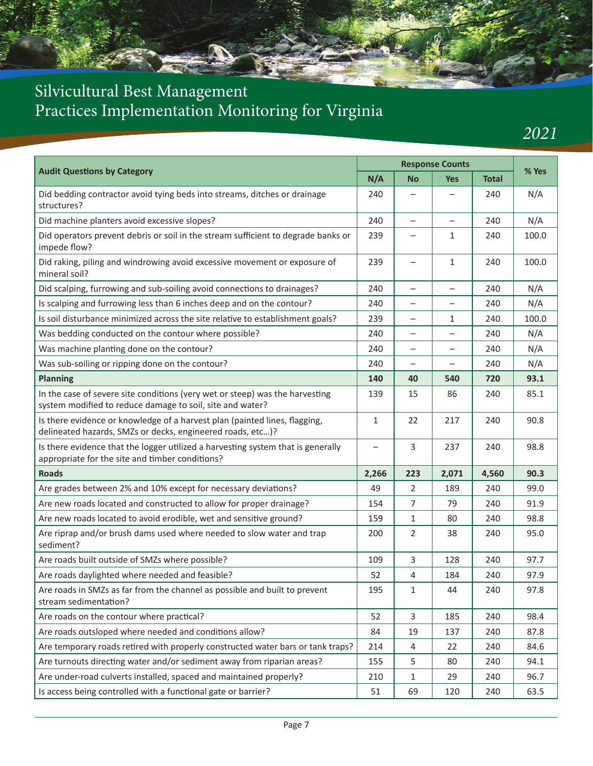

*2021*

| <b>Audit Questions by Category</b>                                                                                                        |       | <b>Response Counts</b>   |                          |              | % Yes |
|-------------------------------------------------------------------------------------------------------------------------------------------|-------|--------------------------|--------------------------|--------------|-------|
|                                                                                                                                           |       | <b>No</b>                | <b>Yes</b>               | <b>Total</b> |       |
| Did bedding contractor avoid tying beds into streams, ditches or drainage<br>structures?                                                  | 240   |                          | $\overline{\phantom{0}}$ | 240          | N/A   |
| Did machine planters avoid excessive slopes?                                                                                              | 240   |                          |                          | 240          | N/A   |
| Did operators prevent debris or soil in the stream sufficient to degrade banks or<br>impede flow?                                         | 239   | —                        | 1                        | 240          | 100.0 |
| Did raking, piling and windrowing avoid excessive movement or exposure of<br>mineral soil?                                                | 239   |                          | $\mathbf{1}$             | 240          | 100.0 |
| Did scalping, furrowing and sub-soiling avoid connections to drainages?                                                                   | 240   | $\overline{\phantom{0}}$ | $\overline{\phantom{0}}$ | 240          | N/A   |
| Is scalping and furrowing less than 6 inches deep and on the contour?                                                                     | 240   | —                        | $\overline{\phantom{0}}$ | 240          | N/A   |
| Is soil disturbance minimized across the site relative to establishment goals?                                                            | 239   |                          | $\mathbf{1}$             | 240          | 100.0 |
| Was bedding conducted on the contour where possible?                                                                                      | 240   | $\qquad \qquad -$        | $\overline{\phantom{0}}$ | 240          | N/A   |
| Was machine planting done on the contour?                                                                                                 | 240   | —                        | -                        | 240          | N/A   |
| Was sub-soiling or ripping done on the contour?                                                                                           | 240   | —                        | —                        | 240          | N/A   |
| <b>Planning</b>                                                                                                                           | 140   | 40                       | 540                      | 720          | 93.1  |
| In the case of severe site conditions (very wet or steep) was the harvesting<br>system modified to reduce damage to soil, site and water? | 139   | 15                       | 86                       | 240          | 85.1  |
| Is there evidence or knowledge of a harvest plan (painted lines, flagging,<br>delineated hazards, SMZs or decks, engineered roads, etc)?  | 1     | 22                       | 217                      | 240          | 90.8  |
| Is there evidence that the logger utilized a harvesting system that is generally<br>appropriate for the site and timber conditions?       |       | 3                        | 237                      | 240          | 98.8  |
| <b>Roads</b>                                                                                                                              | 2,266 | 223                      | 2,071                    | 4,560        | 90.3  |
| Are grades between 2% and 10% except for necessary deviations?                                                                            | 49    | 2                        | 189                      | 240          | 99.0  |
| Are new roads located and constructed to allow for proper drainage?                                                                       | 154   | $\overline{7}$           | 79                       | 240          | 91.9  |
| Are new roads located to avoid erodible, wet and sensitive ground?                                                                        | 159   | $\mathbf{1}$             | 80                       | 240          | 98.8  |
| Are riprap and/or brush dams used where needed to slow water and trap<br>sediment?                                                        | 200   | 2                        | 38                       | 240          | 95.0  |
| Are roads built outside of SMZs where possible?                                                                                           | 109   | 3                        | 128                      | 240          | 97.7  |
| Are roads daylighted where needed and feasible?                                                                                           | 52    | 4                        | 184                      | 240          | 97.9  |
| Are roads in SMZs as far from the channel as possible and built to prevent<br>stream sedimentation?                                       | 195   | 1                        | 44                       | 240          | 97.8  |
| Are roads on the contour where practical?                                                                                                 | 52    | 3                        | 185                      | 240          | 98.4  |
| Are roads outsloped where needed and conditions allow?                                                                                    | 84    | 19                       | 137                      | 240          | 87.8  |
| Are temporary roads retired with properly constructed water bars or tank traps?                                                           | 214   | 4                        | 22                       | 240          | 84.6  |
| Are turnouts directing water and/or sediment away from riparian areas?                                                                    | 155   | 5                        | 80                       | 240          | 94.1  |
| Are under-road culverts installed, spaced and maintained properly?                                                                        | 210   | $\mathbf{1}$             | 29                       | 240          | 96.7  |
| Is access being controlled with a functional gate or barrier?                                                                             | 51    | 69                       | 120                      | 240          | 63.5  |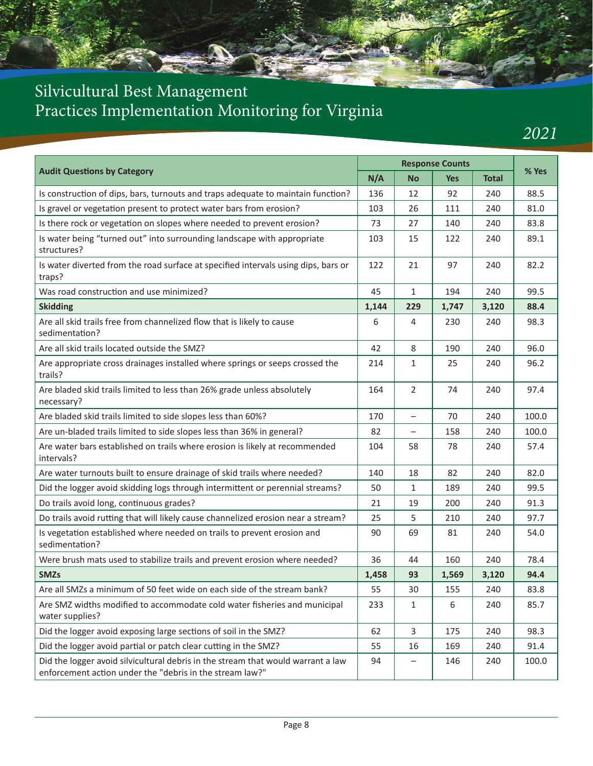# Silvicultural Best Management

# Practices Implementation Monitoring for Virginia

*2021*

|                                                                                                                                              |       | <b>Response Counts</b>   |            |              |       |
|----------------------------------------------------------------------------------------------------------------------------------------------|-------|--------------------------|------------|--------------|-------|
| <b>Audit Questions by Category</b>                                                                                                           | N/A   | <b>No</b>                | <b>Yes</b> | <b>Total</b> | % Yes |
| Is construction of dips, bars, turnouts and traps adequate to maintain function?                                                             | 136   | 12                       | 92         | 240          | 88.5  |
| Is gravel or vegetation present to protect water bars from erosion?                                                                          | 103   | 26                       | 111        | 240          | 81.0  |
| Is there rock or vegetation on slopes where needed to prevent erosion?                                                                       | 73    | 27                       | 140        | 240          | 83.8  |
| Is water being "turned out" into surrounding landscape with appropriate<br>structures?                                                       | 103   | 15                       | 122        | 240          | 89.1  |
| Is water diverted from the road surface at specified intervals using dips, bars or<br>traps?                                                 | 122   | 21                       | 97         | 240          | 82.2  |
| Was road construction and use minimized?                                                                                                     | 45    | $\mathbf{1}$             | 194        | 240          | 99.5  |
| <b>Skidding</b>                                                                                                                              | 1,144 | 229                      | 1,747      | 3,120        | 88.4  |
| Are all skid trails free from channelized flow that is likely to cause<br>sedimentation?                                                     | 6     | 4                        | 230        | 240          | 98.3  |
| Are all skid trails located outside the SMZ?                                                                                                 | 42    | 8                        | 190        | 240          | 96.0  |
| Are appropriate cross drainages installed where springs or seeps crossed the<br>trails?                                                      | 214   | $\mathbf{1}$             | 25         | 240          | 96.2  |
| Are bladed skid trails limited to less than 26% grade unless absolutely<br>necessary?                                                        | 164   | 2                        | 74         | 240          | 97.4  |
| Are bladed skid trails limited to side slopes less than 60%?                                                                                 | 170   | $\overline{\phantom{0}}$ | 70         | 240          | 100.0 |
| Are un-bladed trails limited to side slopes less than 36% in general?                                                                        | 82    | $\overline{\phantom{0}}$ | 158        | 240          | 100.0 |
| Are water bars established on trails where erosion is likely at recommended<br>intervals?                                                    | 104   | 58                       | 78         | 240          | 57.4  |
| Are water turnouts built to ensure drainage of skid trails where needed?                                                                     | 140   | 18                       | 82         | 240          | 82.0  |
| Did the logger avoid skidding logs through intermittent or perennial streams?                                                                | 50    | 1                        | 189        | 240          | 99.5  |
| Do trails avoid long, continuous grades?                                                                                                     | 21    | 19                       | 200        | 240          | 91.3  |
| Do trails avoid rutting that will likely cause channelized erosion near a stream?                                                            | 25    | 5                        | 210        | 240          | 97.7  |
| Is vegetation established where needed on trails to prevent erosion and<br>sedimentation?                                                    | 90    | 69                       | 81         | 240          | 54.0  |
| Were brush mats used to stabilize trails and prevent erosion where needed?                                                                   | 36    | 44                       | 160        | 240          | 78.4  |
| <b>SMZs</b>                                                                                                                                  | 1,458 | 93                       | 1,569      | 3,120        | 94.4  |
| Are all SMZs a minimum of 50 feet wide on each side of the stream bank?                                                                      | 55    | 30                       | 155        | 240          | 83.8  |
| Are SMZ widths modified to accommodate cold water fisheries and municipal<br>water supplies?                                                 | 233   | 1                        | 6          | 240          | 85.7  |
| Did the logger avoid exposing large sections of soil in the SMZ?                                                                             | 62    | $\overline{3}$           | 175        | 240          | 98.3  |
| Did the logger avoid partial or patch clear cutting in the SMZ?                                                                              | 55    | 16                       | 169        | 240          | 91.4  |
| Did the logger avoid silvicultural debris in the stream that would warrant a law<br>enforcement action under the "debris in the stream law?" | 94    |                          | 146        | 240          | 100.0 |